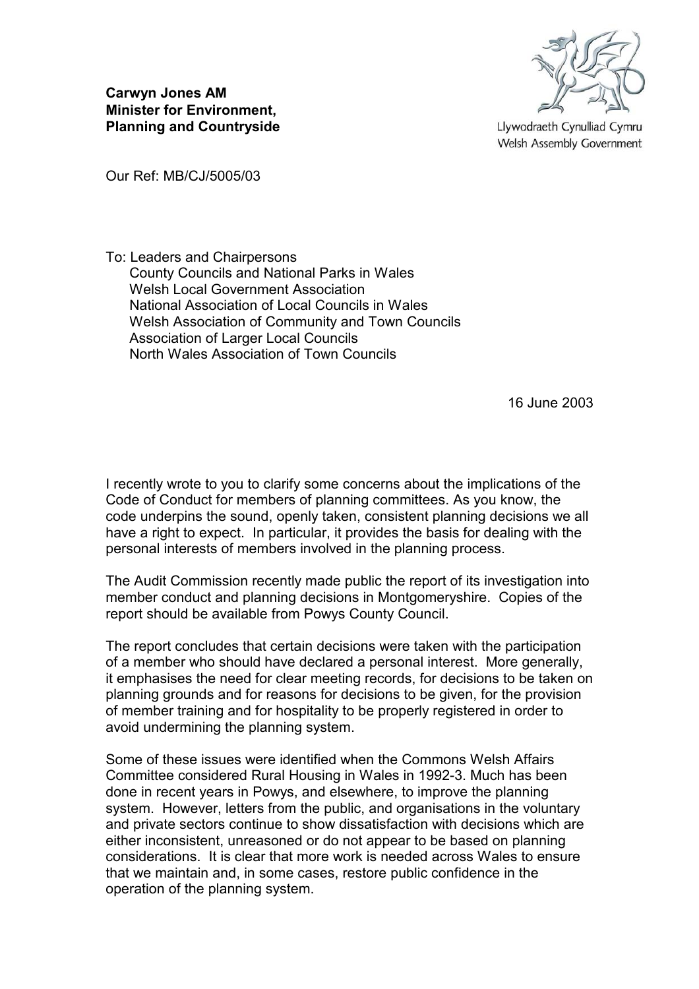

Llywodraeth Cynulliad Cymru Welsh Assembly Government

**Carwyn Jones AM Minister for Environment, Planning and Countryside**

Our Ref: MB/CJ/5005/03

To: Leaders and Chairpersons County Councils and National Parks in Wales Welsh Local Government Association National Association of Local Councils in Wales Welsh Association of Community and Town Councils Association of Larger Local Councils North Wales Association of Town Councils

16 June 2003

I recently wrote to you to clarify some concerns about the implications of the Code of Conduct for members of planning committees. As you know, the code underpins the sound, openly taken, consistent planning decisions we all have a right to expect. In particular, it provides the basis for dealing with the personal interests of members involved in the planning process.

The Audit Commission recently made public the report of its investigation into member conduct and planning decisions in Montgomeryshire. Copies of the report should be available from Powys County Council.

The report concludes that certain decisions were taken with the participation of a member who should have declared a personal interest. More generally, it emphasises the need for clear meeting records, for decisions to be taken on planning grounds and for reasons for decisions to be given, for the provision of member training and for hospitality to be properly registered in order to avoid undermining the planning system.

Some of these issues were identified when the Commons Welsh Affairs Committee considered Rural Housing in Wales in 1992-3. Much has been done in recent years in Powys, and elsewhere, to improve the planning system. However, letters from the public, and organisations in the voluntary and private sectors continue to show dissatisfaction with decisions which are either inconsistent, unreasoned or do not appear to be based on planning considerations. It is clear that more work is needed across Wales to ensure that we maintain and, in some cases, restore public confidence in the operation of the planning system.